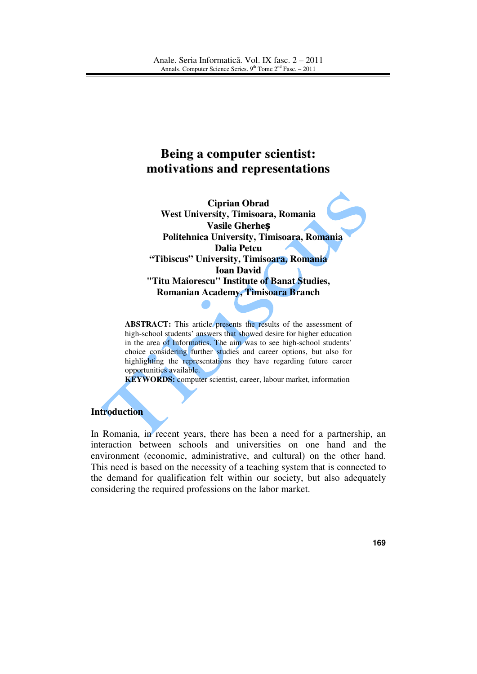# **Being a computer scientist: motivations and representations**

**Ciprian Obrad West University, Timisoara, Romania Vasile Gherhe**ș **Politehnica University, Timisoara, Romania Dalia Petcu "Tibiscus" University, Timisoara, Romania Ioan David "Titu Maiorescu" Institute of Banat Studies, Romanian Academy, Timisoara Branch**

**ABSTRACT:** This article presents the results of the assessment of high-school students' answers that showed desire for higher education in the area of Informatics. The aim was to see high-school students' choice considering further studies and career options, but also for highlighting the representations they have regarding future career opportunities available.

**KEYWORDS:** computer scientist, career, labour market, information

### **Introduction**

In Romania, in recent years, there has been a need for a partnership, an interaction between schools and universities on one hand and the environment (economic, administrative, and cultural) on the other hand. This need is based on the necessity of a teaching system that is connected to the demand for qualification felt within our society, but also adequately considering the required professions on the labor market.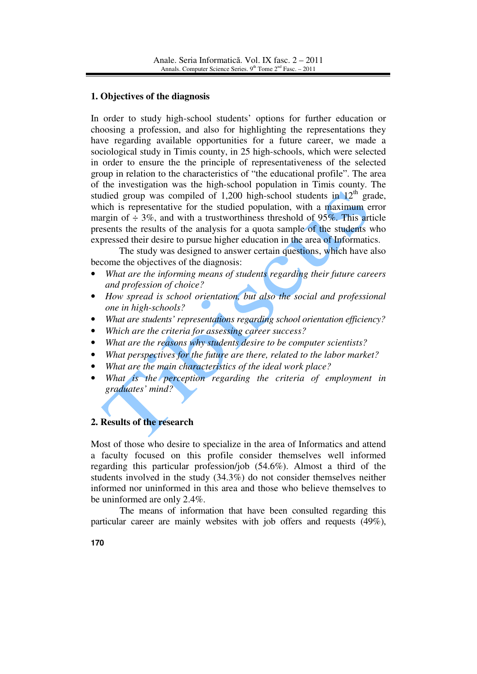## **1. Objectives of the diagnosis**

In order to study high-school students' options for further education or choosing a profession, and also for highlighting the representations they have regarding available opportunities for a future career, we made a sociological study in Timis county, in 25 high-schools, which were selected in order to ensure the the principle of representativeness of the selected group in relation to the characteristics of "the educational profile". The area of the investigation was the high-school population in Timis county. The studied group was compiled of 1,200 high-school students in  $12<sup>th</sup>$  grade, which is representative for the studied population, with a maximum error margin of  $\div$  3%, and with a trustworthiness threshold of 95%. This article presents the results of the analysis for a quota sample of the students who expressed their desire to pursue higher education in the area of Informatics.

 The study was designed to answer certain questions, which have also become the objectives of the diagnosis:

- *What are the informing means of students regarding their future careers and profession of choice?*
- *How spread is school orientation, but also the social and professional one in high-schools?*
- *What are students' representations regarding school orientation efficiency?*
- *Which are the criteria for assessing career success?*
- *What are the reasons why students desire to be computer scientists?*
- *What perspectives for the future are there, related to the labor market?*
- *What are the main characteristics of the ideal work place?*
- What is the perception regarding the criteria of employment in *graduates' mind?*

# **2. Results of the research**

Most of those who desire to specialize in the area of Informatics and attend a faculty focused on this profile consider themselves well informed regarding this particular profession/job (54.6%). Almost a third of the students involved in the study (34.3%) do not consider themselves neither informed nor uninformed in this area and those who believe themselves to be uninformed are only 2.4%.

The means of information that have been consulted regarding this particular career are mainly websites with job offers and requests (49%),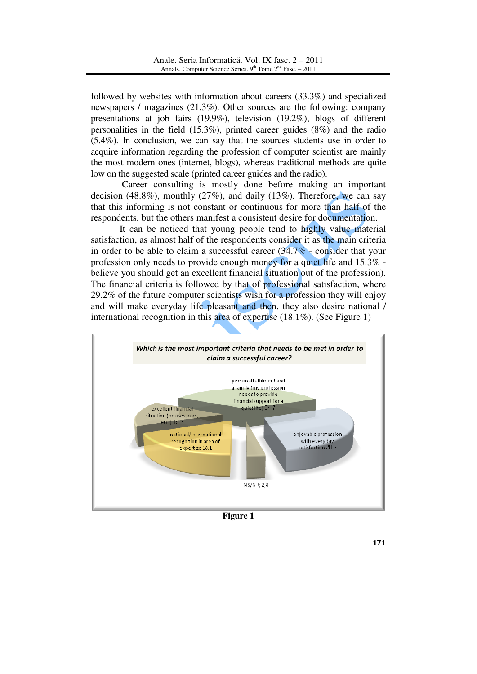followed by websites with information about careers (33.3%) and specialized newspapers / magazines (21.3%). Other sources are the following: company presentations at job fairs (19.9%), television (19.2%), blogs of different personalities in the field (15.3%), printed career guides (8%) and the radio (5.4%). In conclusion, we can say that the sources students use in order to acquire information regarding the profession of computer scientist are mainly the most modern ones (internet, blogs), whereas traditional methods are quite low on the suggested scale (printed career guides and the radio).

 Career consulting is mostly done before making an important decision (48.8%), monthly (27%), and daily (13%). Therefore, we can say that this informing is not constant or continuous for more than half of the respondents, but the others manifest a consistent desire for documentation.

It can be noticed that young people tend to highly value material satisfaction, as almost half of the respondents consider it as the main criteria in order to be able to claim a successful career  $(34.7\%$  - consider that your profession only needs to provide enough money for a quiet life and 15.3% believe you should get an excellent financial situation out of the profession). The financial criteria is followed by that of professional satisfaction, where 29.2% of the future computer scientists wish for a profession they will enjoy and will make everyday life pleasant and then, they also desire national / international recognition in this area of expertise (18.1%). (See Figure 1)



**Figure 1**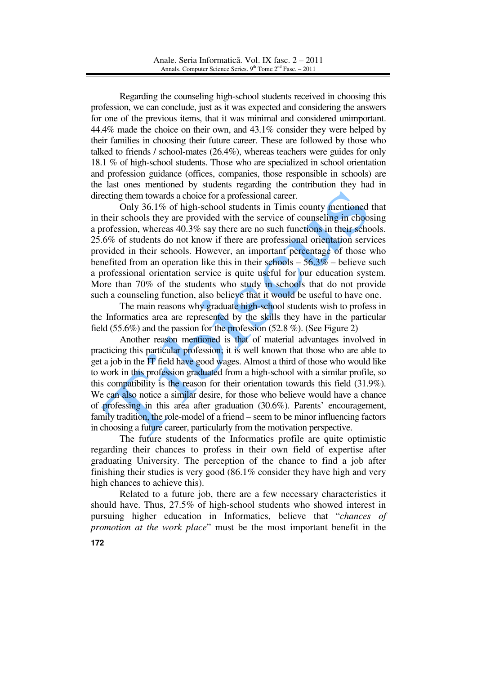Regarding the counseling high-school students received in choosing this profession, we can conclude, just as it was expected and considering the answers for one of the previous items, that it was minimal and considered unimportant. 44.4% made the choice on their own, and 43.1% consider they were helped by their families in choosing their future career. These are followed by those who talked to friends / school-mates (26.4%), whereas teachers were guides for only 18.1 % of high-school students. Those who are specialized in school orientation and profession guidance (offices, companies, those responsible in schools) are the last ones mentioned by students regarding the contribution they had in directing them towards a choice for a professional career.

Only 36.1% of high-school students in Timis county mentioned that in their schools they are provided with the service of counseling in choosing a profession, whereas 40.3% say there are no such functions in their schools. 25.6% of students do not know if there are professional orientation services provided in their schools. However, an important percentage of those who benefited from an operation like this in their schools  $-56.3\%$  – believe such a professional orientation service is quite useful for our education system. More than 70% of the students who study in schools that do not provide such a counseling function, also believe that it would be useful to have one.

The main reasons why graduate high-school students wish to profess in the Informatics area are represented by the skills they have in the particular field (55.6%) and the passion for the profession (52.8 %). (See Figure 2)

Another reason mentioned is that of material advantages involved in practicing this particular profession; it is well known that those who are able to get a job in the IT field have good wages. Almost a third of those who would like to work in this profession graduated from a high-school with a similar profile, so this compatibility is the reason for their orientation towards this field (31.9%). We can also notice a similar desire, for those who believe would have a chance of professing in this area after graduation (30.6%). Parents' encouragement, family tradition, the role-model of a friend – seem to be minor influencing factors in choosing a future career, particularly from the motivation perspective.

The future students of the Informatics profile are quite optimistic regarding their chances to profess in their own field of expertise after graduating University. The perception of the chance to find a job after finishing their studies is very good (86.1% consider they have high and very high chances to achieve this).

Related to a future job, there are a few necessary characteristics it should have. Thus, 27.5% of high-school students who showed interest in pursuing higher education in Informatics, believe that "*chances of promotion at the work place*" must be the most important benefit in the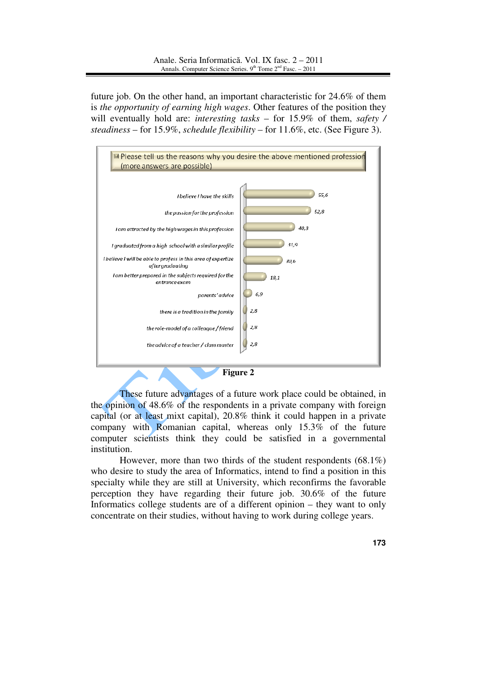future job. On the other hand, an important characteristic for 24.6% of them is *the opportunity of earning high wages*. Other features of the position they will eventually hold are: *interesting tasks* – for 15.9% of them, *safety / steadiness* – for 15.9%, *schedule flexibility* – for 11.6%, etc. (See Figure 3).



These future advantages of a future work place could be obtained, in the opinion of 48.6% of the respondents in a private company with foreign capital (or at least mixt capital), 20.8% think it could happen in a private company with Romanian capital, whereas only 15.3% of the future computer scientists think they could be satisfied in a governmental institution.

 However, more than two thirds of the student respondents (68.1%) who desire to study the area of Informatics, intend to find a position in this specialty while they are still at University, which reconfirms the favorable perception they have regarding their future job. 30.6% of the future Informatics college students are of a different opinion – they want to only concentrate on their studies, without having to work during college years.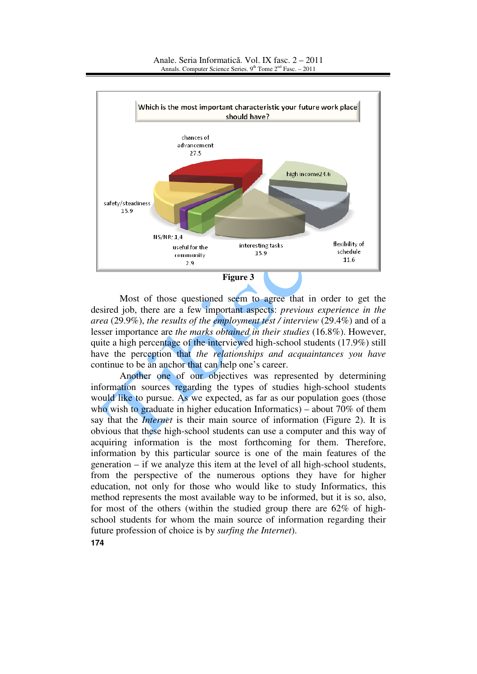

 Most of those questioned seem to agree that in order to get the desired job, there are a few important aspects: *previous experience in the area* (29.9%), *the results of the employment test / interview* (29.4%) and of a lesser importance are *the marks obtained in their studies* (16.8%). However, quite a high percentage of the interviewed high-school students (17.9%) still have the perception that *the relationships and acquaintances you have* continue to be an anchor that can help one's career.

 Another one of our objectives was represented by determining information sources regarding the types of studies high-school students would like to pursue. As we expected, as far as our population goes (those who wish to graduate in higher education Informatics) – about 70% of them say that the *Internet* is their main source of information (Figure 2). It is obvious that these high-school students can use a computer and this way of acquiring information is the most forthcoming for them. Therefore, information by this particular source is one of the main features of the generation – if we analyze this item at the level of all high-school students, from the perspective of the numerous options they have for higher education, not only for those who would like to study Informatics, this method represents the most available way to be informed, but it is so, also, for most of the others (within the studied group there are 62% of highschool students for whom the main source of information regarding their future profession of choice is by *surfing the Internet*).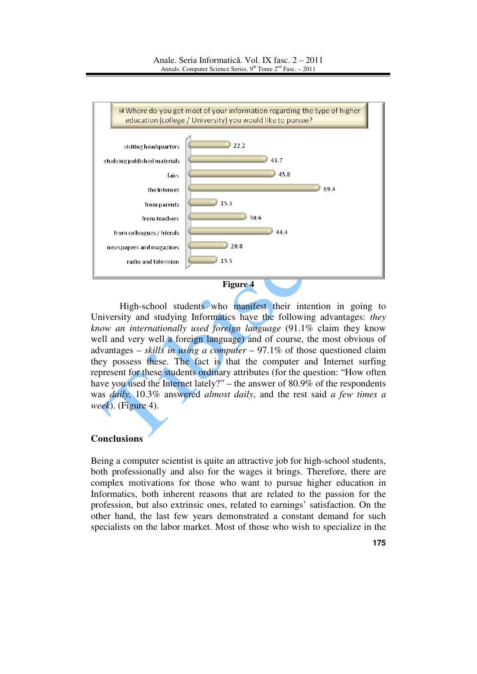

High-school students who manifest their intention in going to University and studying Informatics have the following advantages: *they know an internationally used foreign language* (91.1% claim they know well and very well a foreign language) and of course, the most obvious of advantages – *skills in using a computer* – 97.1% of those questioned claim they possess these. The fact is that the computer and Internet surfing represent for these students ordinary attributes (for the question: "How often have you used the Internet lately?" – the answer of 80.9% of the respondents was *daily,* 10.3% answered *almost daily*, and the rest said *a few times a week*). (Figure 4).

#### **Conclusions**

Being a computer scientist is quite an attractive job for high-school students, both professionally and also for the wages it brings. Therefore, there are complex motivations for those who want to pursue higher education in Informatics, both inherent reasons that are related to the passion for the profession, but also extrinsic ones, related to earnings' satisfaction. On the other hand, the last few years demonstrated a constant demand for such specialists on the labor market. Most of those who wish to specialize in the